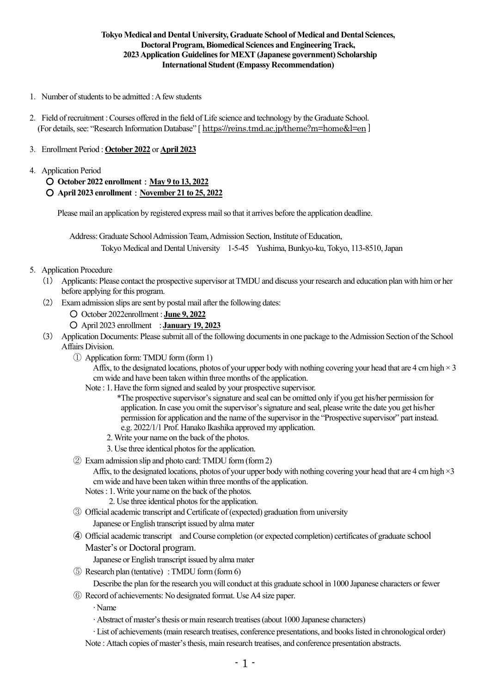## **Tokyo Medical and Dental University, Graduate School of Medical and Dental Sciences, Doctoral Program, Biomedical Sciences and Engineering Track, 2023Application GuidelinesforMEXT(Japanese government) Scholarship International Student (Empassy Recommendation)**

- 1. Number of students to be admitted : A few students
- 2.Field ofrecruitment :Courses offered in the field of Life science and technology by the Graduate School. (For details,see: "Research Information Database" [ <https://reins.tmd.ac.jp/theme?m=home&l=en> ]

## 3.Enrollment Period : **October 2022** or **April 2023**

## 4.Application Period

## ○ **October 2022 enrollment**:**May 9 to 13, 2022** ○ **April 2023 enrollment**:**November 21 to 25, 2022**

Please mail an application by registered express mailso that it arrives before the application deadline.

Address: Graduate School Admission Team, Admission Section, Institute of Education, Tokyo Medical and Dental University 1-5-45 Yushima, Bunkyo-ku,Tokyo, 113-8510,Japan

## 5.Application Procedure

- (1) Applicants: Please contact the prospective supervisor atTMDU and discuss your research and education plan with him or her before applying for this program.
- (2) Examadmission slips are sent by postal mail after the following dates:
	- October 2022enrollment : **June 9, 2022**

○ April 2023 enrollment : **January 19, 2023**

- (3) Application Documents: Please submit all of the following documentsin one package to theAdmission Section of the School Affairs Division.
	- ① Application form:TMDU form (form 1)

Affix, to the designated locations, photos of your upper body with nothing covering your head that are 4 cm high  $\times$  3 cm wide and have been taken within three months of the application.

- Note : 1. Have the form signed and sealed by your prospective supervisor.
	- \*The prospective supervisor'ssignature and seal can be omitted only if you get his/her permission for application. In case you omit the supervisor'ssignature and seal, please write the date you get his/her permission for application and the name of the supervisor in the "Prospective supervisor" part instead. e.g. 2022/1/1 Prof. Hanako Ikashika approved my application.
	- 2. Write your name on the back of the photos.
	- 3. Use three identical photos for the application.
- ② Exam admission slip and photo card: TMDU form (form2)

Affix, to the designated locations, photos of your upper body with nothing covering your head that are 4 cm high  $\times 3$ cm wide and have been taken within three months of the application.

- Notes: 1.Write your name on the back of the photos.
	- 2. Use three identical photos for the application.
- ③ Official academic transcript andCertificate of (expected) graduation from university

Japanese or English transcript issued by alma mater

- ④ Official academic transcript andCourse completion (or expected completion) certificates of graduate school Master's or Doctoral program.
	- Japanese or English transcript issued by alma mater
- ⑤ Research plan (tentative) : TMDU form (form 6)

Describe the plan for the research you will conduct at this graduate school in 1000 Japanese characters or fewer

⑥ Record of achievements: No designated format. Use A4 size paper.

∙ Name

∙ Abstract of master'sthesis or main research treatises(about 1000 Japanese characters)

∙ List of achievements(main research treatises, conference presentations, and bookslisted in chronological order) Note : Attach copies of master's thesis, main research treatises, and conference presentation abstracts.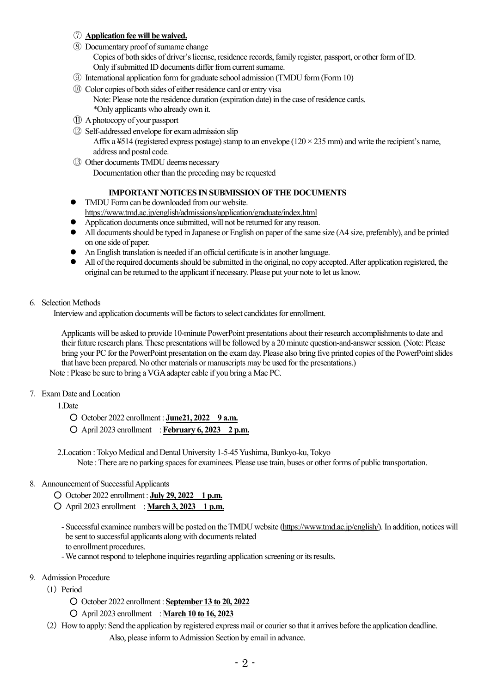## ⑦ **Application fee will be waived.**

- ⑧ Documentary proof ofsurname change Copies of both sides of driver's license, residence records, family register, passport, or other form of ID. Only if submitted ID documents differ from current surname.
- ⑨ International application form for graduate school admission (TMDU form (Form 10)
- ⑩ Color copies of both sides of either residence card or entry visa Note: Please note the residence duration (expiration date) in the case of residence cards.
	- \*Only applicants who already own it.
- ⑪ Aphotocopy of your passport
- ⑫ Self-addressed envelope for exam admission slip

Affix a  $\frac{1}{2}$  (registered express postage) stamp to an envelope (120  $\times$  235 mm) and write the recipient's name. address and postal code.

⑬ Other documentsTMDU deems necessary Documentation other than the preceding may be requested

## **IMPORTANT NOTICES IN SUBMISSION OFTHE DOCUMENTS**

- TMDU Form can be downloaded from our website. <https://www.tmd.ac.jp/english/admissions/application/graduate/index.html>
- Application documents once submitted, will not be returned for any reason.
- All documentsshould be typed in Japanese or English on paper of the same size (A4 size, preferably), and be printed on one side of paper.
- An English translation is needed if an official certificate is in another language.
- All of the required documentsshould be submitted in the original, no copy accepted.After application registered, the original can be returned to the applicant if necessary. Please put your note to let us know.

### 6.Selection Methods

Interview and application documents will be factors to select candidates for enrollment.

Applicants will be asked to provide 10-minute PowerPoint presentations about their research accomplishments to date and their future research plans.These presentations will be followed by a 20 minute question-and-answersession. (Note: Please bring your PC for the PowerPoint presentation on the exam day. Please also bring five printed copies of the PowerPointslides that have been prepared. No other materials or manuscripts may be used for the presentations.)

Note : Please be sure to bring aVGAadapter cable if you bring a Mac PC.

7.Exam Date and Location

1.Date

○ October 2022 enrollment : **June21, 2022 9 a.m.**

○ April 2023 enrollment : **February 6, 2023 2 p.m.**

2. Location : Tokyo Medical and Dental University 1-5-45 Yushima, Bunkyo-ku, Tokyo Note : There are no parking spaces for examinees. Please use train, buses or other forms of public transportation.

## 8.Announcement of SuccessfulApplicants

- October 2022 enrollment : **July 29, 2022 1 p.m.**
- April 2023 enrollment : **March 3, 2023 1 p.m.**

- Successful examinee numbers will be posted on theTMDU website [\(https://www.tmd.ac.jp/english/\).](https://www.tmd.ac.jp/english/) In addition, notices will be sent to successful applicants along with documents related to enrollment procedures.

- We cannot respond to telephone inquiries regarding application screening or its results.

### 9.Admission Procedure

- $(1)$  Period
	- October 2022 enrollment : **September 13 to 20, 2022**
	- April 2023 enrollment : **March 10 to 16, 2023**
- (2)How to apply: Send the application by registered express mail or courierso that it arrives before the application deadline. Also, please inform to Admission Section by email in advance.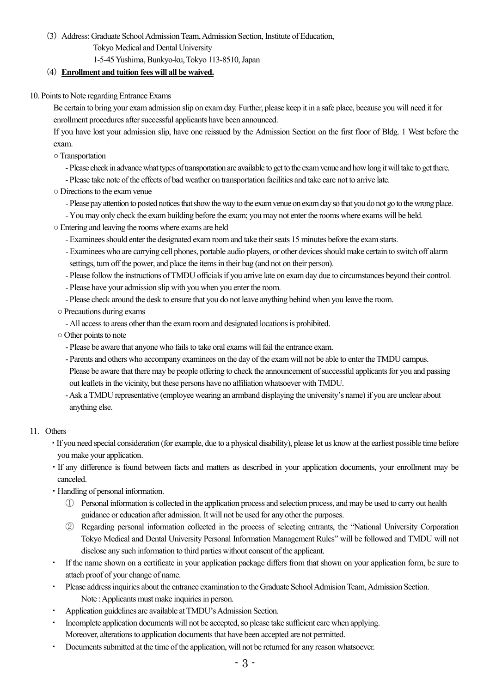(3)Address: Graduate SchoolAdmissionTeam,Admission Section, Institute of Education, Tokyo Medical and Dental University

1-5-45Yushima, Bunkyo-ku,Tokyo 113-8510, Japan

# (4)**Enrollment and tuition fees will all be waived.**

10. Points to Note regarding Entrance Exams

Be certain to bring your exam admission slip on exam day. Further, please keep it in a safe place, because you will need it for enrollment procedures after successful applicants have been announced.

If you have lost your admission slip, have one reissued by the Admission Section on the first floor of Bldg. 1 West before the exam.

- ○Transportation
	- Please check in advance what types of transportation are available to get to the exam venue and how long it will take to get there.
	- Please take note of the effects of bad weather on transportation facilities and take care not to arrive late.
- $\circ$  Directions to the exam venue
	- Please pay attention to posted notices that show the way to the exam venue on exam day so that you do not go to the wrong place.
	- You may only check the exambuilding before the exam; you may not enter the rooms where exams will be held.
- Entering and leaving the rooms where exams are held
	- Examinees should enter the designated exam room and take their seats 15 minutes before the exam starts.
	- Examinees who are carrying cell phones, portable audio players, or other devicesshould make certain to switch off alarm settings, turn off the power, and place the items in their bag (and not on their person).
	- Please follow the instructions of TMDU officials if you arrive late on exam day due to circumstances beyond their control.
	- Please have your admission slip with you when you enter the room.
	- Please check around the desk to ensure that you do not leave anything behind when you leave the room.
- Precautions during exams
	- All access to areas other than the exam room and designated locations is prohibited.
- o Other points to note
	- Please be aware that anyone who fails to take oral exams will fail the entrance exam.
	- Parents and others who accompany examinees on the day of the exam will not be able to enter theTMDU campus. Please be aware that there may be people offering to check the announcement of successful applicants for you and passing out leaflets in the vicinity, but these persons have no affiliation whatsoever with TMDU.
	- -Ask aTMDU representative (employee wearing an armband displaying the university's name) if you are unclear about anything else.

# 11.Others

- ・If you need special consideration (for example, due to a physical disability), please let us know at the earliest possible time before you make your application.
- ・If any difference is found between facts and matters as described in your application documents, your enrollment may be canceled.
- ・Handling of personal information.
	- ① Personal information is collected in the application process and selection process, and may be used to carry out health guidance or education after admission. It will not be used for any other the purposes.
	- ② Regarding personal information collected in the process of selecting entrants, the "National University Corporation Tokyo Medical and Dental University Personal Information Management Rules" will be followed and TMDU will not disclose any such information to third parties without consent of the applicant.
- If the name shown on a certificate in your application package differs from that shown on your application form, be sure to attach proof of your change of name.
- Please address inquiries about the entrance examination to the Graduate School Admision Team, Admission Section. Note : Applicants must make inquiries in person.
- Application guidelines are available at TMDU's Admission Section.
- ・ Incomplete application documents will not be accepted, so please take sufficient care when applying. Moreover, alterations to application documents that have been accepted are not permitted.
- Documents submitted at the time of the application, will not be returned for any reason whatsoever.